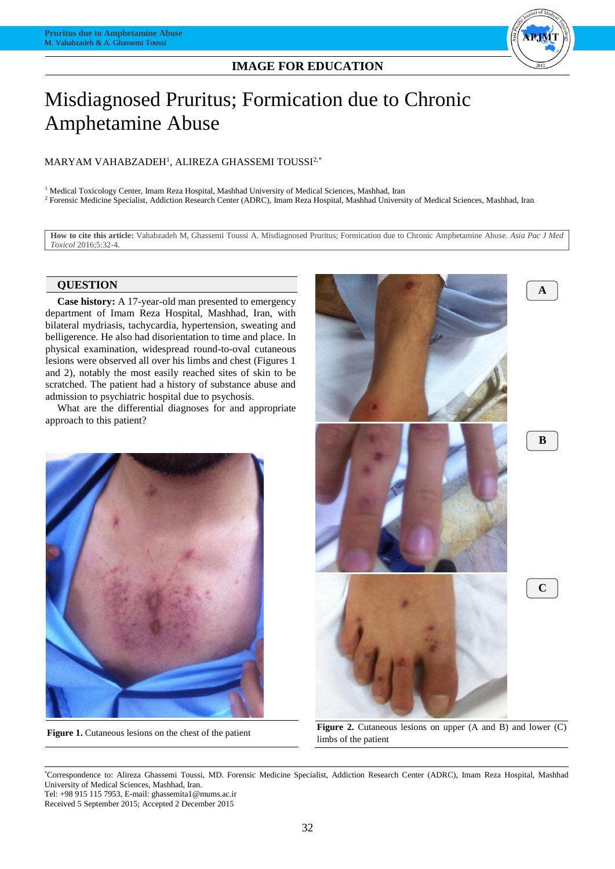## **IMAGE FOR EDUCATION**



# Misdiagnosed Pruritus; Formication due to Chronic Amphetamine Abuse

## MARYAM VAHABZADEH<sup>1</sup> , ALIREZA GHASSEMI TOUSSI2,\*

<sup>1</sup> Medical Toxicology Center, Imam Reza Hospital, Mashhad University of Medical Sciences, Mashhad, Iran <sup>2</sup> Forensic Medicine Specialist, Addiction Research Center (ADRC), Imam Reza Hospital, Mashhad University of Medical Sciences, Mashhad, Iran

**How to cite this article:** Vahabzadeh M, Ghassemi Toussi A. Misdiagnosed Pruritus; Formication due to Chronic Amphetamine Abuse. *Asia Pac J Med Toxicol* 2016;5:32-4.

## **QUESTION**

**Case history:** A 17-year-old man presented to emergency department of Imam Reza Hospital, Mashhad, Iran, with bilateral mydriasis, tachycardia, hypertension, sweating and belligerence. He also had disorientation to time and place. In physical examination, widespread round-to-oval cutaneous lesions were observed all over his limbs and chest (Figures 1 and 2), notably the most easily reached sites of skin to be scratched. The patient had a history of substance abuse and admission to psychiatric hospital due to psychosis.

What are the differential diagnoses for and appropriate approach to this patient?





**Figure 1.** Cutaneous lesions on the chest of the patient **Figure 2.** Cutaneous lesions on upper (A and B) and lower (C) limbs of the patient

\*Correspondence to: Alireza Ghassemi Toussi, MD. Forensic Medicine Specialist, Addiction Research Center (ADRC), Imam Reza Hospital, Mashhad University of Medical Sciences, Mashhad, Iran. Tel: +98 915 115 7953, E-mail: ghassemita1@mums.ac.ir

Received 5 September 2015; Accepted 2 December 2015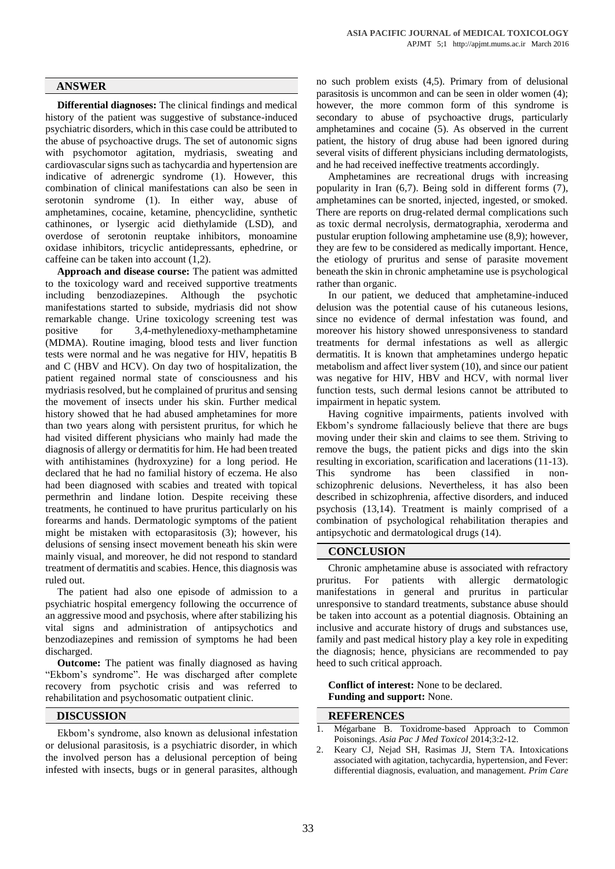### **ANSWER**

**Differential diagnoses:** The clinical findings and medical history of the patient was suggestive of substance-induced psychiatric disorders, which in this case could be attributed to the abuse of psychoactive drugs. The set of autonomic signs with psychomotor agitation, mydriasis, sweating and cardiovascular signs such as tachycardia and hypertension are indicative of adrenergic syndrome (1). However, this combination of clinical manifestations can also be seen in serotonin syndrome (1). In either way, abuse of amphetamines, cocaine, ketamine, phencyclidine, synthetic cathinones, or lysergic acid diethylamide (LSD), and overdose of serotonin reuptake inhibitors, monoamine oxidase inhibitors, tricyclic antidepressants, ephedrine, or caffeine can be taken into account (1,2).

**Approach and disease course:** The patient was admitted to the toxicology ward and received supportive treatments including benzodiazepines. Although the psychotic manifestations started to subside, mydriasis did not show remarkable change. Urine toxicology screening test was positive for 3,4-methylenedioxy-methamphetamine (MDMA). Routine imaging, blood tests and liver function tests were normal and he was negative for HIV, hepatitis B and C (HBV and HCV). On day two of hospitalization, the patient regained normal state of consciousness and his mydriasis resolved, but he complained of pruritus and sensing the movement of insects under his skin. Further medical history showed that he had abused amphetamines for more than two years along with persistent pruritus, for which he had visited different physicians who mainly had made the diagnosis of allergy or dermatitis for him. He had been treated with antihistamines (hydroxyzine) for a long period. He declared that he had no familial history of eczema. He also had been diagnosed with scabies and treated with topical permethrin and lindane lotion. Despite receiving these treatments, he continued to have pruritus particularly on his forearms and hands. Dermatologic symptoms of the patient might be mistaken with ectoparasitosis (3); however, his delusions of sensing insect movement beneath his skin were mainly visual, and moreover, he did not respond to standard treatment of dermatitis and scabies. Hence, this diagnosis was ruled out.

The patient had also one episode of admission to a psychiatric hospital emergency following the occurrence of an aggressive mood and psychosis, where after stabilizing his vital signs and administration of antipsychotics and benzodiazepines and remission of symptoms he had been discharged.

**Outcome:** The patient was finally diagnosed as having "Ekbom's syndrome". He was discharged after complete recovery from psychotic crisis and was referred to rehabilitation and psychosomatic outpatient clinic.

## **DISCUSSION**

Ekbom's syndrome, also known as delusional infestation or delusional parasitosis, is a psychiatric disorder, in which the involved person has a delusional perception of being infested with insects, bugs or in general parasites, although

no such problem exists (4,5). Primary from of delusional parasitosis is uncommon and can be seen in older women (4); however, the more common form of this syndrome is secondary to abuse of psychoactive drugs, particularly amphetamines and cocaine (5). As observed in the current patient, the history of drug abuse had been ignored during several visits of different physicians including dermatologists, and he had received ineffective treatments accordingly.

Amphetamines are recreational drugs with increasing popularity in Iran (6,7). Being sold in different forms (7), amphetamines can be snorted, injected, ingested, or smoked. There are reports on drug-related dermal complications such as toxic dermal necrolysis, dermatographia, xeroderma and pustular eruption following amphetamine use (8,9); however, they are few to be considered as medically important. Hence, the etiology of pruritus and sense of parasite movement beneath the skin in chronic amphetamine use is psychological rather than organic.

In our patient, we deduced that amphetamine-induced delusion was the potential cause of his cutaneous lesions, since no evidence of dermal infestation was found, and moreover his history showed unresponsiveness to standard treatments for dermal infestations as well as allergic dermatitis. It is known that amphetamines undergo hepatic metabolism and affect liver system (10), and since our patient was negative for HIV, HBV and HCV, with normal liver function tests, such dermal lesions cannot be attributed to impairment in hepatic system.

Having cognitive impairments, patients involved with Ekbom's syndrome fallaciously believe that there are bugs moving under their skin and claims to see them. Striving to remove the bugs, the patient picks and digs into the skin resulting in excoriation, scarification and lacerations (11-13). This syndrome has been classified in nonschizophrenic delusions. Nevertheless, it has also been described in schizophrenia, affective disorders, and induced psychosis (13,14). Treatment is mainly comprised of a combination of psychological rehabilitation therapies and antipsychotic and dermatological drugs (14).

#### **CONCLUSION**

Chronic amphetamine abuse is associated with refractory pruritus. For patients with allergic dermatologic manifestations in general and pruritus in particular unresponsive to standard treatments, substance abuse should be taken into account as a potential diagnosis. Obtaining an inclusive and accurate history of drugs and substances use, family and past medical history play a key role in expediting the diagnosis; hence, physicians are recommended to pay heed to such critical approach.

**Conflict of interest:** None to be declared. **Funding and support:** None.

## **REFERENCES**

- 1. Mégarbane B. Toxidrome-based Approach to Common Poisonings. *Asia Pac J Med Toxicol* 2014;3:2-12.
- 2. Keary CJ, Nejad SH, Rasimas JJ, Stern TA. Intoxications associated with agitation, tachycardia, hypertension, and Fever: differential diagnosis, evaluation, and management. *Prim Care*